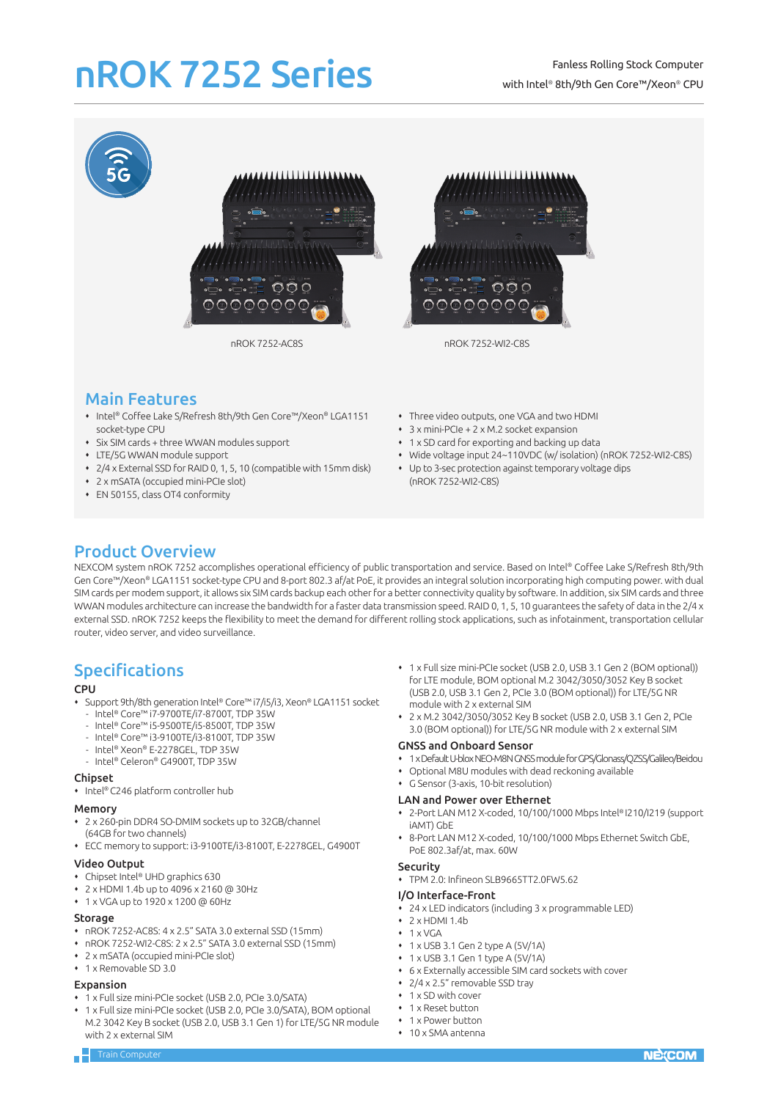# nROK 7252 Series







nROK 7252-AC8S nROK 7252-WI2-C8S

## Main Features

- Intel® Coffee Lake S/Refresh 8th/9th Gen Core™/Xeon® LGA1151 socket-type CPU
- Six SIM cards + three WWAN modules support
- LTE/5G WWAN module support
- 2/4 x External SSD for RAID 0, 1, 5, 10 (compatible with 15mm disk)
- 2 x mSATA (occupied mini-PCIe slot)
- EN 50155, class OT4 conformity
- Three video outputs, one VGA and two HDMI
- 3 x mini-PCIe + 2 x M.2 socket expansion
- 1 x SD card for exporting and backing up data
- Wide voltage input 24~110VDC (w/ isolation) (nROK 7252-WI2-C8S)
- Up to 3-sec protection against temporary voltage dips (nROK 7252-WI2-C8S)

## Product Overview

NEXCOM system nROK 7252 accomplishes operational efficiency of public transportation and service. Based on Intel® Coffee Lake S/Refresh 8th/9th Gen Core™/Xeon® LGA1151 socket-type CPU and 8-port 802.3 af/at PoE, it provides an integral solution incorporating high computing power. with dual SIM cards per modem support, it allows six SIM cards backup each other for a better connectivity quality by software. In addition, six SIM cards and three WWAN modules architecture can increase the bandwidth for a faster data transmission speed. RAID 0, 1, 5, 10 guarantees the safety of data in the 2/4 x external SSD. nROK 7252 keeps the flexibility to meet the demand for different rolling stock applications, such as infotainment, transportation cellular router, video server, and video surveillance.

# **Specifications**

#### **CPU**

- Support 9th/8th generation Intel® Core™ i7/i5/i3, Xeon® LGA1151 socket
- Intel® Core™ i7-9700TE/i7-8700T, TDP 35W
- Intel® Core™ i5-9500TE/i5-8500T, TDP 35W
- Intel® Core™ i3-9100TE/i3-8100T, TDP 35W
- Intel® Xeon® E-2278GEL, TDP 35W
- Intel® Celeron® G4900T, TDP 35W

#### Chipset

• Intel® C246 platform controller hub

### Memory

- 2 x 260-pin DDR4 SO-DMIM sockets up to 32GB/channel (64GB for two channels)
- ECC memory to support: i3-9100TE/i3-8100T, E-2278GEL, G4900T

#### Video Output

- Chipset Intel® UHD graphics 630
- 2 x HDMI 1.4b up to 4096 x 2160 @ 30Hz
- 1 x VGA up to 1920 x 1200 @ 60Hz

#### Storage

- nROK 7252-AC8S: 4 x 2.5" SATA 3.0 external SSD (15mm)
- nROK 7252-WI2-C8S: 2 x 2.5" SATA 3.0 external SSD (15mm)
- 2 x mSATA (occupied mini-PCIe slot)
- $\cdot$  1 x Removable SD 3.0

#### Expansion

- 1 x Full size mini-PCIe socket (USB 2.0, PCIe 3.0/SATA)
- 1 x Full size mini-PCIe socket (USB 2.0, PCIe 3.0/SATA), BOM optional M.2 3042 Key B socket (USB 2.0, USB 3.1 Gen 1) for LTE/5G NR module with 2 x external SIM
- 1 x Full size mini-PCIe socket (USB 2.0, USB 3.1 Gen 2 (BOM optional)) for LTE module, BOM optional M.2 3042/3050/3052 Key B socket (USB 2.0, USB 3.1 Gen 2, PCIe 3.0 (BOM optional)) for LTE/5G NR module with 2 x external SIM
- 2 x M.2 3042/3050/3052 Key B socket (USB 2.0, USB 3.1 Gen 2, PCIe 3.0 (BOM optional)) for LTE/5G NR module with 2 x external SIM

#### GNSS and Onboard Sensor

- 1 x Default U-blox NEO-M8N GNSS module for GPS/Glonass/QZSS/Galileo/Beidou
- Optional M8U modules with dead reckoning available
- G Sensor (3-axis, 10-bit resolution)

#### LAN and Power over Ethernet

- 2-Port LAN M12 X-coded, 10/100/1000 Mbps Intel® I210/I219 (support iAMT) GbE
- 8-Port LAN M12 X-coded, 10/100/1000 Mbps Ethernet Switch GbE, PoE 802.3af/at, max. 60W

#### Security

TPM 2.0: Infineon SLB9665TT2.0FW5.62

#### I/O Interface-Front

- 24 x LED indicators (including 3 x programmable LED)
- $\cdot$  2 x HDMI 1.4b
- $+ 1$  x VGA
- $\cdot$  1 x USB 3.1 Gen 2 type A (5V/1A)
- 1 x USB 3.1 Gen 1 type A (5V/1A)
- 6 x Externally accessible SIM card sockets with cover
- 2/4 x 2.5" removable SSD tray
- ◆ 1 x SD with cover
- 1 x Reset button
- 1 x Power button
- 10 x SMA antenna